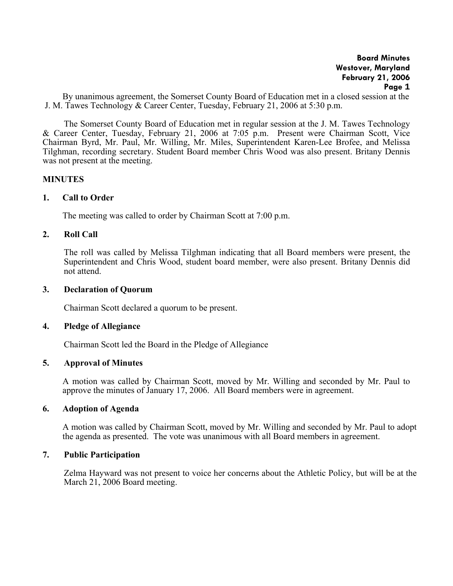By unanimous agreement, the Somerset County Board of Education met in a closed session at the J. M. Tawes Technology & Career Center, Tuesday, February 21, 2006 at 5:30 p.m.

The Somerset County Board of Education met in regular session at the J. M. Tawes Technology & Career Center, Tuesday, February 21, 2006 at 7:05 p.m. Present were Chairman Scott, Vice Chairman Byrd, Mr. Paul, Mr. Willing, Mr. Miles, Superintendent Karen-Lee Brofee, and Melissa Tilghman, recording secretary. Student Board member Chris Wood was also present. Britany Dennis was not present at the meeting.

## **MINUTES**

# **1. Call to Order**

The meeting was called to order by Chairman Scott at 7:00 p.m.

# **2. Roll Call**

The roll was called by Melissa Tilghman indicating that all Board members were present, the Superintendent and Chris Wood, student board member, were also present. Britany Dennis did not attend.

## **3. Declaration of Quorum**

Chairman Scott declared a quorum to be present.

## **4. Pledge of Allegiance**

Chairman Scott led the Board in the Pledge of Allegiance

# **5. Approval of Minutes**

 A motion was called by Chairman Scott, moved by Mr. Willing and seconded by Mr. Paul to approve the minutes of January 17, 2006. All Board members were in agreement.

# **6. Adoption of Agenda**

A motion was called by Chairman Scott, moved by Mr. Willing and seconded by Mr. Paul to adopt the agenda as presented. The vote was unanimous with all Board members in agreement.

# **7. Public Participation**

Zelma Hayward was not present to voice her concerns about the Athletic Policy, but will be at the March 21, 2006 Board meeting.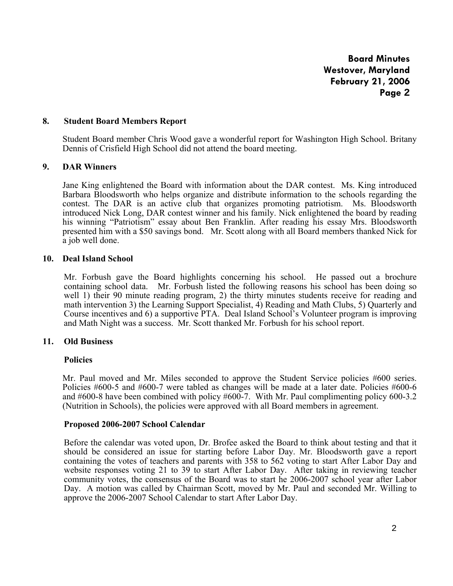## **8. Student Board Members Report**

 Student Board member Chris Wood gave a wonderful report for Washington High School. Britany Dennis of Crisfield High School did not attend the board meeting.

# **9. DAR Winners**

 Jane King enlightened the Board with information about the DAR contest. Ms. King introduced Barbara Bloodsworth who helps organize and distribute information to the schools regarding the contest. The DAR is an active club that organizes promoting patriotism. Ms. Bloodsworth introduced Nick Long, DAR contest winner and his family. Nick enlightened the board by reading his winning "Patriotism" essay about Ben Franklin. After reading his essay Mrs. Bloodsworth presented him with a \$50 savings bond. Mr. Scott along with all Board members thanked Nick for a job well done.

# **10. Deal Island School**

Mr. Forbush gave the Board highlights concerning his school. He passed out a brochure containing school data. Mr. Forbush listed the following reasons his school has been doing so well 1) their 90 minute reading program, 2) the thirty minutes students receive for reading and math intervention 3) the Learning Support Specialist, 4) Reading and Math Clubs, 5) Quarterly and Course incentives and 6) a supportive PTA. Deal Island School's Volunteer program is improving and Math Night was a success. Mr. Scott thanked Mr. Forbush for his school report.

## **11. Old Business**

## **Policies**

Mr. Paul moved and Mr. Miles seconded to approve the Student Service policies #600 series. Policies #600-5 and #600-7 were tabled as changes will be made at a later date. Policies #600-6 and #600-8 have been combined with policy #600-7. With Mr. Paul complimenting policy 600-3.2 (Nutrition in Schools), the policies were approved with all Board members in agreement.

#### **Proposed 2006-2007 School Calendar**

Before the calendar was voted upon, Dr. Brofee asked the Board to think about testing and that it should be considered an issue for starting before Labor Day. Mr. Bloodsworth gave a report containing the votes of teachers and parents with 358 to 562 voting to start After Labor Day and website responses voting 21 to 39 to start After Labor Day. After taking in reviewing teacher community votes, the consensus of the Board was to start he 2006-2007 school year after Labor Day. A motion was called by Chairman Scott, moved by Mr. Paul and seconded Mr. Willing to approve the 2006-2007 School Calendar to start After Labor Day.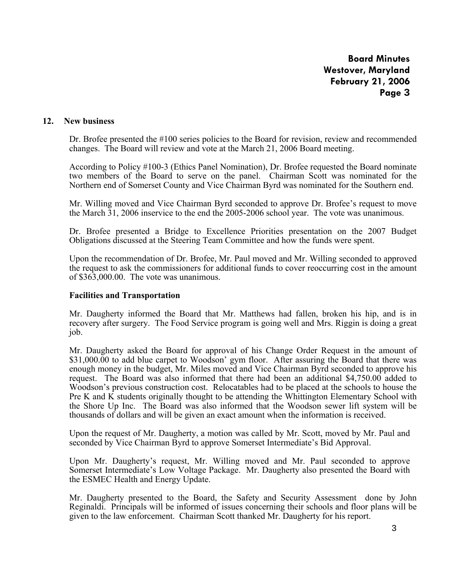## **12. New business**

Dr. Brofee presented the #100 series policies to the Board for revision, review and recommended changes. The Board will review and vote at the March 21, 2006 Board meeting.

According to Policy #100-3 (Ethics Panel Nomination), Dr. Brofee requested the Board nominate two members of the Board to serve on the panel. Chairman Scott was nominated for the Northern end of Somerset County and Vice Chairman Byrd was nominated for the Southern end.

Mr. Willing moved and Vice Chairman Byrd seconded to approve Dr. Brofee's request to move the March 31, 2006 inservice to the end the 2005-2006 school year. The vote was unanimous.

Dr. Brofee presented a Bridge to Excellence Priorities presentation on the 2007 Budget Obligations discussed at the Steering Team Committee and how the funds were spent.

Upon the recommendation of Dr. Brofee, Mr. Paul moved and Mr. Willing seconded to approved the request to ask the commissioners for additional funds to cover reoccurring cost in the amount of \$363,000.00. The vote was unanimous.

#### **Facilities and Transportation**

Mr. Daugherty informed the Board that Mr. Matthews had fallen, broken his hip, and is in recovery after surgery. The Food Service program is going well and Mrs. Riggin is doing a great job.

Mr. Daugherty asked the Board for approval of his Change Order Request in the amount of \$31,000.00 to add blue carpet to Woodson' gym floor. After assuring the Board that there was enough money in the budget, Mr. Miles moved and Vice Chairman Byrd seconded to approve his request. The Board was also informed that there had been an additional \$4,750.00 added to Woodson's previous construction cost. Relocatables had to be placed at the schools to house the Pre K and K students originally thought to be attending the Whittington Elementary School with the Shore Up Inc. The Board was also informed that the Woodson sewer lift system will be thousands of dollars and will be given an exact amount when the information is received.

Upon the request of Mr. Daugherty, a motion was called by Mr. Scott, moved by Mr. Paul and seconded by Vice Chairman Byrd to approve Somerset Intermediate's Bid Approval.

Upon Mr. Daugherty's request, Mr. Willing moved and Mr. Paul seconded to approve Somerset Intermediate's Low Voltage Package. Mr. Daugherty also presented the Board with the ESMEC Health and Energy Update.

Mr. Daugherty presented to the Board, the Safety and Security Assessment done by John Reginaldi. Principals will be informed of issues concerning their schools and floor plans will be given to the law enforcement. Chairman Scott thanked Mr. Daugherty for his report.